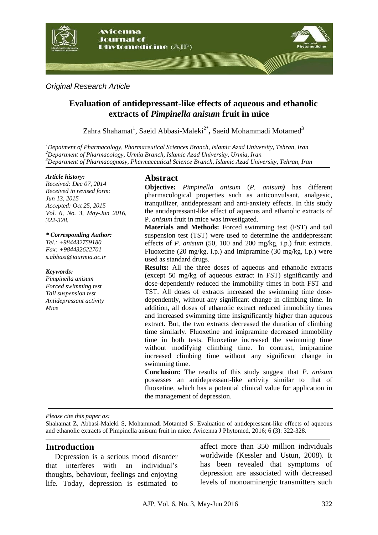

*Original Research Article*

# **Evaluation of antidepressant-like effects of aqueous and ethanolic extracts of** *Pimpinella anisum* **fruit in mice**

Zahra Shahamat<sup>1</sup>, Saeid Abbasi-Maleki<sup>2\*</sup>, Saeid Mohammadi Motamed<sup>3</sup>

*<sup>1</sup>Depatment of Pharmacology, Pharmaceutical Sciences Branch, Islamic Azad University, Tehran, Iran <sup>2</sup>Department of Pharmacology, Urmia Branch, Islamic Azad University, Urmia, Iran <sup>3</sup>Department of Pharmacognosy, Pharmaceutical Science Branch, Islamic Azad University, Tehran, Iran*

#### *Article history:*

*Received: Dec 07, 2014 Received in revised form: Jun 13, 2015 Accepted: Oct 25, 2015 Vol. 6, No. 3, May-Jun 2016, 322-328.*

#### *\* Corresponding Author:*

*Tel.: +984432759180 Fax: +984432622701 s.abbasi@iaurmia.ac.ir*

#### *Keywords:*

*Pimpinella anisum Forced swimming test Tail suspension test Antidepressant activity Mice*

## **Abstract**

**Objective:** *Pimpinella anisum* (*P. anisum)* has different pharmacological properties such as anticonvulsant, analgesic, tranquilizer, antidepressant and anti-anxiety effects. In this study the antidepressant-like effect of aqueous and ethanolic extracts of P. *anisum* fruit in mice was investigated.

**Materials and Methods:** Forced swimming test (FST) and tail suspension test (TST) were used to determine the antidepressant effects of *P. anisum* (50, 100 and 200 mg/kg, i.p.) fruit extracts. Fluoxetine (20 mg/kg, i.p.) and imipramine (30 mg/kg, i.p.) were used as standard drugs.

**Results:** All the three doses of aqueous and ethanolic extracts (except 50 mg/kg of aqueous extract in FST) significantly and dose-dependently reduced the immobility times in both FST and TST. All doses of extracts increased the swimming time dosedependently, without any significant change in climbing time. In addition, all doses of ethanolic extract reduced immobility times and increased swimming time insignificantly higher than aqueous extract. But, the two extracts decreased the duration of climbing time similarly. Fluoxetine and imipramine decreased immobility time in both tests. Fluoxetine increased the swimming time without modifying climbing time. In contrast, imipramine increased climbing time without any significant change in swimming time.

**Conclusion:** The results of this study suggest that *P*. *anisum* possesses an antidepressant-like activity similar to that of fluoxetine, which has a potential clinical value for application in the management of depression.

*Please cite this paper as:* 

Shahamat Z, Abbasi-Maleki S, Mohammadi Motamed S. Evaluation of antidepressant-like effects of aqueous and ethanolic extracts of Pimpinella anisum fruit in mice. Avicenna J Phytomed, 2016; 6 (3): 322-328.

## **Introduction**

Depression is a serious mood disorder that interferes with an individual's thoughts, behaviour, feelings and enjoying life. Today, depression is estimated to affect more than 350 million individuals worldwide (Kessler and Ustun, 2008). It has been revealed that symptoms of depression are associated with decreased levels of monoaminergic transmitters such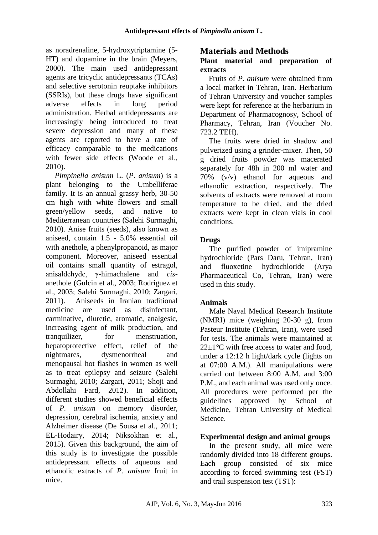as noradrenaline, 5-hydroxytriptamine (5- HT) and dopamine in the brain (Meyers, 2000). The main used antidepressant agents are tricyclic antidepressants (TCAs) and selective serotonin reuptake inhibitors (SSRIs), but these drugs have significant adverse effects in long period administration. Herbal antidepressants are increasingly being introduced to treat severe depression and many of these agents are reported to have a rate of efficacy comparable to the medications with fewer side effects (Woode et al., 2010).

*Pimpinella anisum* L. (*P*. *anisum*) is a plant belonging to the Umbelliferae family. It is an annual grassy herb, 30-50 cm high with white flowers and small green/yellow seeds, and native to Mediterranean countries (Salehi Surmaghi, 2010). Anise fruits (seeds), also known as aniseed, contain 1.5 - 5.0% essential oil with anethole, a phenylpropanoid, as major component. Moreover, aniseed essential oil contains small quantity of estragol, anisaldehyde, γ-himachalene and *cis*anethole (Gulcin et al., 2003; Rodriguez et al., 2003; Salehi Surmaghi, 2010; Zargari, 2011). Aniseeds in Iranian traditional medicine are used as disinfectant, carminative, diuretic, aromatic, analgesic, increasing agent of milk production, and tranquilizer, for menstruation, hepatoprotective effect, relief of the nightmares, dysmenorrheal and menopausal hot flashes in women as well as to treat epilepsy and seizure (Salehi Surmaghi, 2010; Zargari, 2011; Shoji and Abdollahi Fard, 2012). In addition, different studies showed beneficial effects of *P. anisum* on memory disorder, depression, cerebral ischemia, anxiety and Alzheimer disease (De Sousa et al., 2011; EL-Hodairy, 2014; Niksokhan et al., 2015). Given this background, the aim of this study is to investigate the possible antidepressant effects of aqueous and ethanolic extracts of *P. anisum* fruit in mice.

# **Materials and Methods**

## **Plant material and preparation of extracts**

Fruits of *P*. *anisum* were obtained from a local market in Tehran, Iran. Herbarium of Tehran University and voucher samples were kept for reference at the herbarium in Department of Pharmacognosy, School of Pharmacy, Tehran, Iran (Voucher No. 723.2 TEH).

The fruits were dried in shadow and pulverized using a grinder-mixer. Then, 50 g dried fruits powder was macerated separately for 48h in 200 ml water and 70% (v/v) ethanol for aqueous and ethanolic extraction, respectively. The solvents of extracts were removed at room temperature to be dried, and the dried extracts were kept in clean vials in cool conditions.

## **Drugs**

The purified powder of imipramine hydrochloride (Pars Daru, Tehran, Iran) and fluoxetine hydrochloride (Arya Pharmaceutical Co, Tehran, Iran) were used in this study.

# **Animals**

Male Naval Medical Research Institute (NMRI) mice (weighing 20-30 g), from Pasteur Institute (Tehran, Iran), were used for tests. The animals were maintained at 22*±*1*°*C with free access to water and food, under a 12:12 h light/dark cycle (lights on at 07:00 A.M.). All manipulations were carried out between 8:00 A.M. and 3:00 P.M., and each animal was used only once. All procedures were performed per the guidelines approved by School of Medicine, Tehran University of Medical Science.

# **Experimental design and animal groups**

In the present study, all mice were randomly divided into 18 different groups. Each group consisted of six mice according to forced swimming test (FST) and trail suspension test (TST):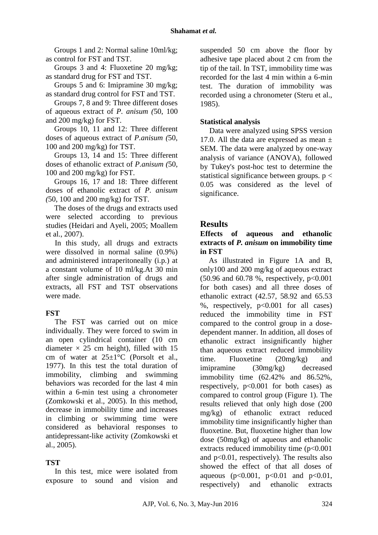Groups 1 and 2: Normal saline 10ml/kg; as control for FST and TST.

Groups 3 and 4: Fluoxetine 20 mg/kg; as standard drug for FST and TST.

Groups 5 and 6: Imipramine 30 mg/kg; as standard drug control for FST and TST.

Groups 7, 8 and 9: Three different doses of aqueous extract of *P. anisum (*50, 100 and 200 mg/kg) for FST.

Groups 10, 11 and 12: Three different doses of aqueous extract of *P.anisum (*50, 100 and 200 mg/kg) for TST.

Groups 13, 14 and 15: Three different doses of ethanolic extract of *P.anisum (*50, 100 and 200 mg/kg) for FST.

Groups 16, 17 and 18: Three different doses of ethanolic extract of *P. anisum (*50, 100 and 200 mg/kg) for TST.

The doses of the drugs and extracts used were selected according to previous studies (Heidari and Ayeli, 2005; Moallem et al., 2007).

In this study, all drugs and extracts were dissolved in normal saline (0.9%) and administered intraperitoneally (i.p.) at a constant volume of 10 ml/kg.At 30 min after single administration of drugs and extracts, all FST and TST observations were made.

## **FST**

The FST was carried out on mice individually. They were forced to swim in an open cylindrical container (10 cm diameter  $\times$  25 cm height), filled with 15 cm of water at  $25 \pm 1$ °C (Porsolt et al., 1977). In this test the total duration of immobility, climbing and swimming behaviors was recorded for the last 4 min within a 6-min test using a chronometer (Zomkowski et al., 2005). In this method, decrease in immobility time and increases in climbing or swimming time were considered as behavioral responses to antidepressant-like activity (Zomkowski et al., 2005).

## **TST**

In this test, mice were isolated from exposure to sound and vision and suspended 50 cm above the floor by adhesive tape placed about 2 cm from the tip of the tail. In TST, immobility time was recorded for the last 4 min within a 6-min test. The duration of immobility was recorded using a chronometer (Steru et al., 1985).

#### **Statistical analysis**

Data were analyzed using SPSS version 17.0. All the data are expressed as mean  $\pm$ SEM. The data were analyzed by one-way analysis of variance (ANOVA), followed by Tukey's post-hoc test to determine the statistical significance between groups.  $p <$ 0.05 was considered as the level of significance.

# **Results**

## **Effects of aqueous and ethanolic extracts of** *P. anisum* **on immobility time in FST**

As illustrated in Figure 1A and B, only100 and 200 mg/kg of aqueous extract  $(50.96$  and  $60.78$  %, respectively,  $p<0.001$ for both cases) and all three doses of ethanolic extract (42.57, 58.92 and 65.53 %, respectively,  $p<0.001$  for all cases) reduced the immobility time in FST compared to the control group in a dosedependent manner. In addition, all doses of ethanolic extract insignificantly higher than aqueous extract reduced immobility time. Fluoxetine (20mg/kg) and imipramine (30mg/kg) decreased immobility time (62.42% and 86.52%, respectively,  $p<0.001$  for both cases) as compared to control group (Figure 1). The results relieved that only high dose (200 mg/kg) of ethanolic extract reduced immobility time insignificantly higher than fluoxetine. But, fluoxetine higher than low dose (50mg/kg) of aqueous and ethanolic extracts reduced immobility time (p<0.001 and p<0.01, respectively). The results also showed the effect of that all doses of aqueous ( $p < 0.001$ ,  $p < 0.01$  and  $p < 0.01$ , respectively) and ethanolic extracts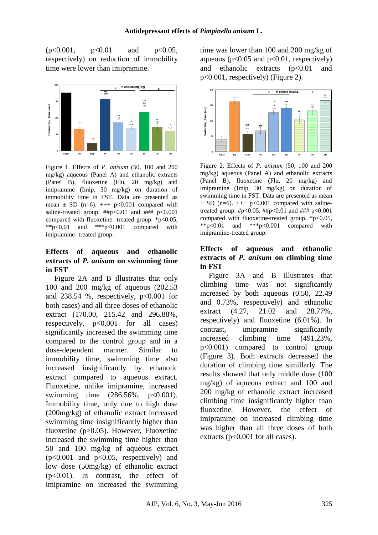$(p<0.001, p<0.01$  and  $p<0.05$ , respectively) on reduction of immobility time were lower than imipramine.



Figure 1. Effects of *P. anisum* (50, 100 and 200 mg/kg) aqueous (Panel A) and ethanolic extracts (Panel B), fluoxetine (Flu, 20 mg/kg) and imipramine (Imip, 30 mg/kg) on duration of immobility time in FST. Data are presented as mean  $\pm$  SD (n=6).  $++$  p<0.001 compared with saline-treated group.  $\# \# p < 0.01$  and  $\# \# \# p < 0.001$ compared with fluoxetine- treated group.  $*$ p<0.05, \*\*p<0.01 and \*\*\*p<0.001 compared with imipramine- treated group.

#### **Effects of aqueous and ethanolic extracts of** *P. anisum* **on swimming time in FST**

Figure 2A and B illustrates that only 100 and 200 mg/kg of aqueous (202.53 and  $238.54$  %, respectively,  $p<0.001$  for both cases) and all three doses of ethanolic extract (170.00, 215.42 and 296.88%, respectively,  $p<0.001$  for all cases) significantly increased the swimming time compared to the control group and in a dose-dependent manner. Similar to immobility time, swimming time also increased insignificantly by ethanolic extract compared to aqueous extract. Fluoxetine, unlike imipramine, increased swimming time (286.56%, p<0.001). Immobility time, only due to high dose (200mg/kg) of ethanolic extract increased swimming time insignificantly higher than fluoxetine (p>0.05). However, Fluoxetine increased the swimming time higher than 50 and 100 mg/kg of aqueous extract  $(p<0.001$  and  $p<0.05$ , respectively) and low dose (50mg/kg) of ethanolic extract  $(p<0.01)$ . In contrast, the effect of imipramine on increased the swimming

time was lower than 100 and 200 mg/kg of aqueous ( $p<0.05$  and  $p<0.01$ , respectively) and ethanolic extracts  $(p<0.01$  and p<0.001, respectively) (Figure 2).



Figure 2. Effects of *P. anisum* (50, 100 and 200 mg/kg) aqueous (Panel A) and ethanolic extracts (Panel B), fluoxetine (Flu, 20 mg/kg) and imipramine (Imip, 30 mg/kg) on duration of swimming time in FST. Data are presented as mean  $\pm$  SD (n=6).  $++$  p<0.001 compared with salinetreated group.  $\#p<0.05$ ,  $\#p<0.01$  and  $\#$ ##  $p<0.001$ compared with fluoxetine-treated group. \*p<0.05,<br>\*\*p<0.01 and \*\*\*p<0.001 compared with \*\*p<0.01 and \*\*\*p<0.001 compared with imipramine-treated group.

#### **Effects of aqueous and ethanolic extracts of** *P. anisum* **on climbing time in FST**

Figure 3A and B illustrates that climbing time was not significantly increased by both aqueous (0.50, 22.49 and 0.73%, respectively) and ethanolic extract (4.27, 21.02 and 28.77%, respectively) and fluoxetine (6.01%). In contrast, imipramine significantly increased climbing time (491.23%, p<0.001) compared to control group (Figure 3). Both extracts decreased the duration of climbing time simillarly. The results showed that only middle dose (100 mg/kg) of aqueous extract and 100 and 200 mg/kg of ethanolic extract increased climbing time insignificantly higher than fluoxetine. However, the effect of imipramine on increased climbing time was higher than all three doses of both extracts ( $p<0.001$  for all cases).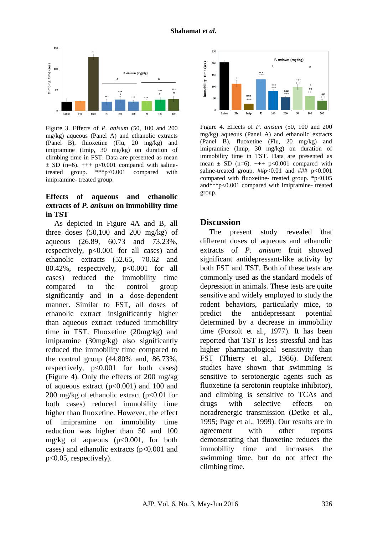

Figure 3. Effects of *P. anisum* (50, 100 and 200 mg/kg) aqueous (Panel A) and ethanolic extracts (Panel B), fluoxetine (Flu, 20 mg/kg) and imipramine (Imip, 30 mg/kg) on duration of climbing time in FST. Data are presented as mean  $\pm$  SD (n=6).  $++$  p<0.001 compared with salinetreated group. \*\*\*p<0.001 compared with imipramine- treated group.

## **Effects of aqueous and ethanolic extracts of** *P. anisum* **on immobility time in TST**

As depicted in Figure 4A and B, all three doses  $(50,100 \text{ and } 200 \text{ mg/kg})$  of aqueous (26.89, 60.73 and 73.23%, respectively,  $p<0.001$  for all cases) and ethanolic extracts (52.65, 70.62 and 80.42%, respectively, p<0.001 for all cases) reduced the immobility time compared to the control group significantly and in a dose-dependent manner. Similar to FST, all doses of ethanolic extract insignificantly higher than aqueous extract reduced immobility time in TST. Fluoxetine (20mg/kg) and imipramine (30mg/kg) also significantly reduced the immobility time compared to the control group (44.80% and, 86.73%, respectively,  $p<0.001$  for both cases) (Figure 4). Only the effects of 200 mg/kg of aqueous extract (p<0.001) and 100 and 200 mg/kg of ethanolic extract  $(p<0.01$  for both cases) reduced immobility time higher than fluoxetine. However, the effect of imipramine on immobility time reduction was higher than 50 and 100 mg/kg of aqueous  $(p<0.001$ , for both cases) and ethanolic extracts (p<0.001 and p<0.05, respectively).



Figure 4. Effects of *P. anisum* (50, 100 and 200 mg/kg) aqueous (Panel A) and ethanolic extracts (Panel B), fluoxetine (Flu, 20 mg/kg) and imipramine (Imip, 30 mg/kg) on duration of immobility time in TST. Data are presented as mean  $\pm$  SD (n=6).  $++$  p<0.001 compared with saline-treated group.  $\# \uparrow p < 0.01$  and  $\# \uparrow \uparrow p < 0.001$ compared with fluoxetine- treated group.  $*_{p<0.05}$ and\*\*\*p<0.001 compared with imipramine- treated group.

## **Discussion**

The present study revealed that different doses of aqueous and ethanolic extracts of *P. anisum* fruit showed significant antidepressant-like activity by both FST and TST. Both of these tests are commonly used as the standard models of depression in animals. These tests are quite sensitive and widely employed to study the rodent behaviors, particularly mice, to predict the antidepressant potential determined by a decrease in immobility time (Porsolt et al., 1977). It has been reported that TST is less stressful and has higher pharmacological sensitivity than FST (Thierry et al., 1986). Different studies have shown that swimming is sensitive to serotonergic agents such as fluoxetine (a serotonin reuptake inhibitor), and climbing is sensitive to TCAs and drugs with selective effects on noradrenergic transmission (Detke et al., 1995; Page et al., 1999). Our results are in agreement with other reports demonstrating that fluoxetine reduces the immobility time and increases the swimming time, but do not affect the climbing time.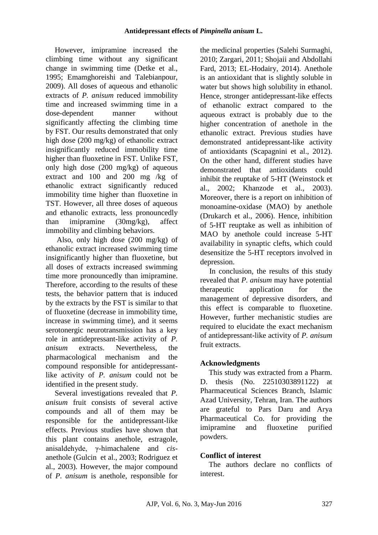However, imipramine increased the climbing time without any significant change in swimming time (Detke et al., 1995; Emamghoreishi and Talebianpour, 2009). All doses of aqueous and ethanolic extracts of *P. anisum* reduced immobility time and increased swimming time in a dose-dependent manner without significantly affecting the climbing time by FST. Our results demonstrated that only high dose (200 mg/kg) of ethanolic extract insignificantly reduced immobility time higher than fluoxetine in FST. Unlike FST, only high dose (200 mg/kg) of aqueous extract and 100 and 200 mg /kg of ethanolic extract significantly reduced immobility time higher than fluoxetine in TST. However, all three doses of aqueous and ethanolic extracts, less pronouncedly than imipramine (30mg/kg), affect immobility and climbing behaviors.

Also, only high dose (200 mg/kg) of ethanolic extract increased swimming time insignificantly higher than fluoxetine, but all doses of extracts increased swimming time more pronouncedly than imipramine. Therefore, according to the results of these tests, the behavior pattern that is induced by the extracts by the FST is similar to that of fluoxetine (decrease in immobility time, increase in swimming time), and it seems serotonergic neurotransmission has a key role in antidepressant-like activity of *P. anisum* extracts. Nevertheless, the pharmacological mechanism and the compound responsible for antidepressantlike activity of *P. anisum* could not be identified in the present study.

Several investigations revealed that *P. anisum* fruit consists of several active compounds and all of them may be responsible for the antidepressant-like effects. Previous studies have shown that this plant contains anethole, estragole, anisaldehyde, γ-himachalene and *cis*anethole (Gulcin et al., 2003; Rodriguez et al., 2003). However, the major compound of *P. anisum* is anethole, responsible for the medicinal properties (Salehi Surmaghi, 2010; Zargari, 2011; Shojaii and Abdollahi Fard, 2013; EL-Hodairy, 2014). Anethole is an antioxidant that is slightly soluble in water but shows high solubility in ethanol. Hence, stronger antidepressant-like effects of ethanolic extract compared to the aqueous extract is probably due to the higher concentration of anethole in the ethanolic extract. Previous studies have demonstrated antidepressant-like activity of antioxidants (Scapagnini et al., 2012). On the other hand, different studies have demonstrated that antioxidants could inhibit the reuptake of 5-HT (Weinstock et al., 2002; Khanzode et al., 2003). Moreover, there is a report on inhibition of monoamine-oxidase (MAO) by anethole (Drukarch et al., 2006). Hence, inhibition of 5-HT reuptake as well as inhibition of MAO by anethole could increase 5-HT availability in synaptic clefts, which could desensitize the 5-HT receptors involved in depression.

In conclusion, the results of this study revealed that *P. anisum* may have potential therapeutic application for the management of depressive disorders, and this effect is comparable to fluoxetine. However, further mechanistic studies are required to elucidate the exact mechanism of antidepressant-like activity of *P. anisum*  fruit extracts.

#### **Acknowledgments**

This study was extracted from a Pharm. D. thesis (No. 22510303891122) at Pharmaceutical Sciences Branch, Islamic Azad University, Tehran, Iran. The authors are grateful to Pars Daru and Arya Pharmaceutical Co. for providing the imipramine and fluoxetine purified powders.

## **Conflict of interest**

The authors declare no conflicts of interest.